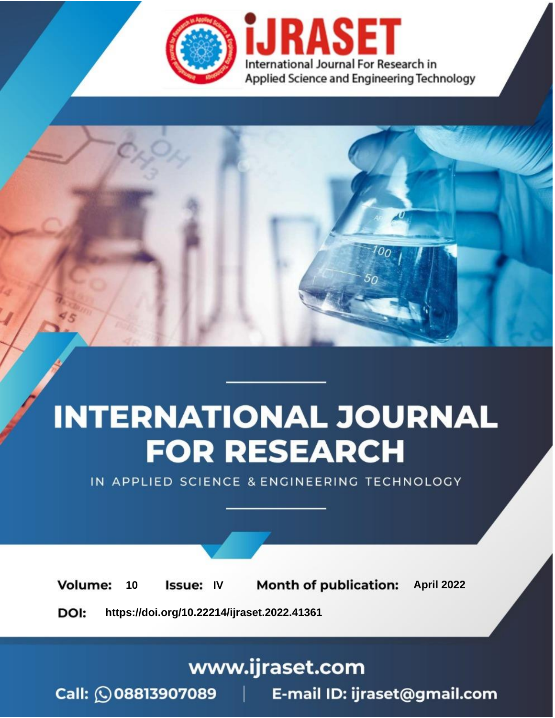

# **INTERNATIONAL JOURNAL FOR RESEARCH**

IN APPLIED SCIENCE & ENGINEERING TECHNOLOGY

10 **Issue: IV Month of publication:** April 2022 **Volume:** 

**https://doi.org/10.22214/ijraset.2022.41361**DOI:

www.ijraset.com

Call: 008813907089 | E-mail ID: ijraset@gmail.com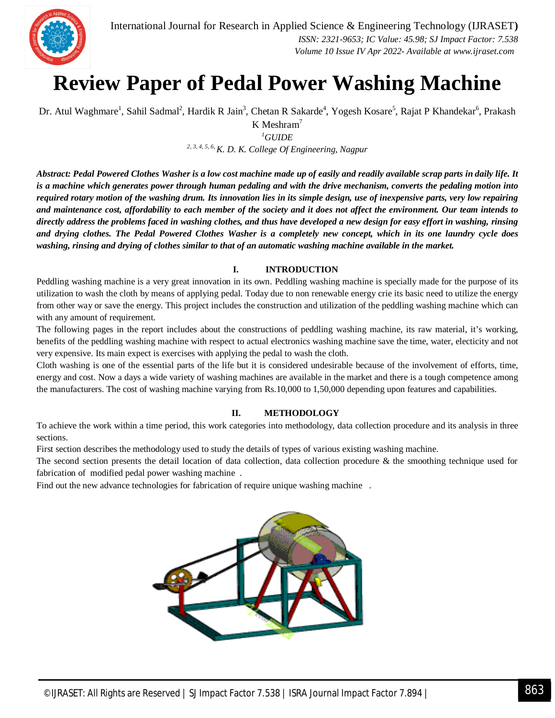

### **Review Paper of Pedal Power Washing Machine**

Dr. Atul Waghmare<sup>1</sup>, Sahil Sadmal<sup>2</sup>, Hardik R Jain<sup>3</sup>, Chetan R Sakarde<sup>4</sup>, Yogesh Kosare<sup>5</sup>, Rajat P Khandekar<sup>6</sup>, Prakash

K Meshram<sup>7</sup>

*<sup>1</sup>GUIDE 2, 3, 4, 5, 6, K. D. K. College Of Engineering, Nagpur*

*Abstract: Pedal Powered Clothes Washer is a low cost machine made up of easily and readily available scrap parts in daily life. It is a machine which generates power through human pedaling and with the drive mechanism, converts the pedaling motion into required rotary motion of the washing drum. Its innovation lies in its simple design, use of inexpensive parts, very low repairing and maintenance cost, affordability to each member of the society and it does not affect the environment. Our team intends to directly address the problems faced in washing clothes, and thus have developed a new design for easy effort in washing, rinsing and drying clothes. The Pedal Powered Clothes Washer is a completely new concept, which in its one laundry cycle does washing, rinsing and drying of clothes similar to that of an automatic washing machine available in the market.*

#### **I. INTRODUCTION**

Peddling washing machine is a very great innovation in its own. Peddling washing machine is specially made for the purpose of its utilization to wash the cloth by means of applying pedal. Today due to non renewable energy crie its basic need to utilize the energy from other way or save the energy. This project includes the construction and utilization of the peddling washing machine which can with any amount of requirement.

The following pages in the report includes about the constructions of peddling washing machine, its raw material, it's working, benefits of the peddling washing machine with respect to actual electronics washing machine save the time, water, electicity and not very expensive. Its main expect is exercises with applying the pedal to wash the cloth.

Cloth washing is one of the essential parts of the life but it is considered undesirable because of the involvement of efforts, time, energy and cost. Now a days a wide variety of washing machines are available in the market and there is a tough competence among the manufacturers. The cost of washing machine varying from Rs.10,000 to 1,50,000 depending upon features and capabilities.

#### **II. METHODOLOGY**

To achieve the work within a time period, this work categories into methodology, data collection procedure and its analysis in three sections.

First section describes the methodology used to study the details of types of various existing washing machine.

The second section presents the detail location of data collection, data collection procedure & the smoothing technique used for fabrication of modified pedal power washing machine .

Find out the new advance technologies for fabrication of require unique washing machine .

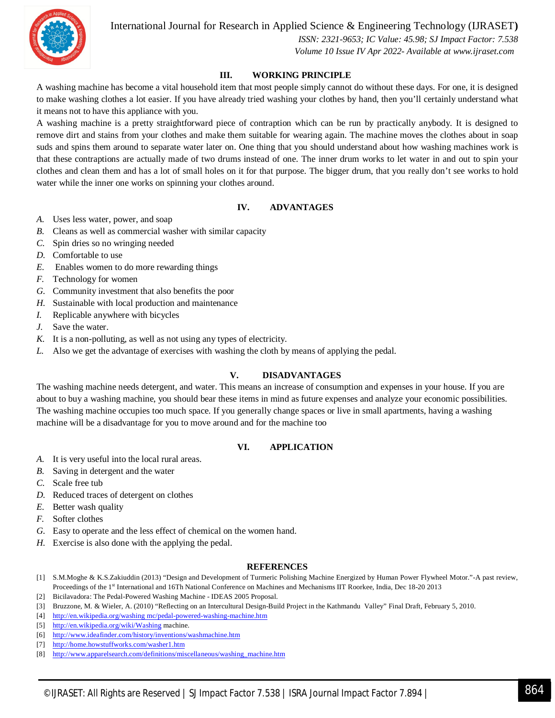International Journal for Research in Applied Science & Engineering Technology (IJRASET**)**



 *ISSN: 2321-9653; IC Value: 45.98; SJ Impact Factor: 7.538 Volume 10 Issue IV Apr 2022- Available at www.ijraset.com*

#### **III. WORKING PRINCIPLE**

A washing machine has become a vital household item that most people simply cannot do without these days. For one, it is designed to make washing clothes a lot easier. If you have already tried washing your clothes by hand, then you'll certainly understand what it means not to have this appliance with you.

A washing machine is a pretty straightforward piece of contraption which can be run by practically anybody. It is designed to remove dirt and stains from your clothes and make them suitable for wearing again. The machine moves the clothes about in soap suds and spins them around to separate water later on. One thing that you should understand about how washing machines work is that these contraptions are actually made of two drums instead of one. The inner drum works to let water in and out to spin your clothes and clean them and has a lot of small holes on it for that purpose. The bigger drum, that you really don't see works to hold water while the inner one works on spinning your clothes around.

#### **IV. ADVANTAGES**

- *A.* Uses less water, power, and soap
- *B.* Cleans as well as commercial washer with similar capacity
- *C.* Spin dries so no wringing needed
- *D.* Comfortable to use
- *E.* Enables women to do more rewarding things
- *F.* Technology for women
- *G.* Community investment that also benefits the poor
- *H.* Sustainable with local production and maintenance
- *I.* Replicable anywhere with bicycles
- *J.* Save the water.
- *K.* It is a non-polluting, as well as not using any types of electricity.
- *L.* Also we get the advantage of exercises with washing the cloth by means of applying the pedal.

#### **V. DISADVANTAGES**

The washing machine needs detergent, and water. This means an increase of consumption and expenses in your house. If you are about to buy a washing machine, you should bear these items in mind as future expenses and analyze your economic possibilities. The washing machine occupies too much space. If you generally change spaces or live in small apartments, having a washing machine will be a disadvantage for you to move around and for the machine too

#### **VI. APPLICATION**

- *A.* It is very useful into the local rural areas.
- *B.* Saving in detergent and the water
- *C.* Scale free tub
- *D.* Reduced traces of detergent on clothes
- *E.* Better wash quality
- *F.* Softer clothes
- *G.* Easy to operate and the less effect of chemical on the women hand.
- *H.* Exercise is also done with the applying the pedal.

#### **REFERENCES**

- [1] S.M.Moghe & K.S.Zakiuddin (2013) "Design and Development of Turmeric Polishing Machine Energized by Human Power Flywheel Motor."-A past review, Proceedings of the 1st International and 16Th National Conference on Machines and Mechanisms IIT Roorkee, India, Dec 18-20 2013
- [2] Bicilavadora: The Pedal-Powered Washing Machine IDEAS 2005 Proposal.
- [3] Bruzzone, M. & Wieler, A. (2010) "Reflecting on an Intercultural Design-Build Project in the Kathmandu Valley" Final Draft, February 5, 2010.
- [4] http://en.wikipedia.org/washing mc/pedal-powered-washing-machine.htm
- [5] http://en.wikipedia.org/wiki/Washing machine.
- [6] http://www.ideafinder.com/history/inventions/washmachine.htm
- [7] http://home.howstuffworks.com/washer1.htm
- [8] http://www.apparelsearch.com/definitions/miscellaneous/washing\_machine.htm